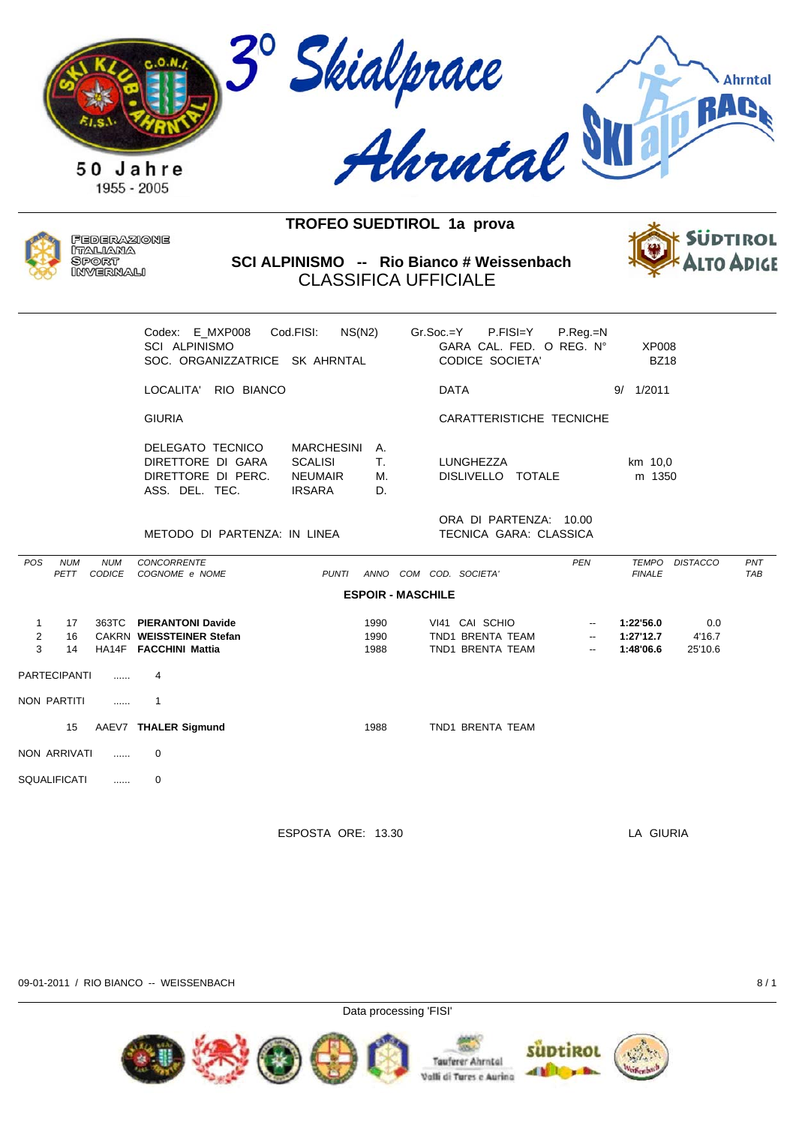



Federazione ITALIANA **SPORT** INVERNALI

**SCI ALPINISMO -- Rio Bianco # Weissenbach** CLASSIFICA UFFICIALE



|                                     |                     |                             | Codex: E MXP008<br><b>SCI ALPINISMO</b><br>SOC. ORGANIZZATRICE SK AHRNTAL     | Cod.FISI:<br>NS(N2)                                             |                      | $Gr.Soc = Y$             | GARA CAL. FED. O REG. N°<br><b>CODICE SOCIETA'</b>     | P.FISI=Y | P.Reg.=N                                                                         | <b>XP008</b><br><b>BZ18</b>         |                          |                   |
|-------------------------------------|---------------------|-----------------------------|-------------------------------------------------------------------------------|-----------------------------------------------------------------|----------------------|--------------------------|--------------------------------------------------------|----------|----------------------------------------------------------------------------------|-------------------------------------|--------------------------|-------------------|
|                                     |                     |                             | LOCALITA' RIO BIANCO                                                          |                                                                 |                      |                          | <b>DATA</b>                                            |          |                                                                                  | 1/2011<br>9/                        |                          |                   |
|                                     |                     |                             | <b>GIURIA</b>                                                                 |                                                                 |                      |                          | CARATTERISTICHE TECNICHE                               |          |                                                                                  |                                     |                          |                   |
|                                     |                     |                             | DELEGATO TECNICO<br>DIRETTORE DI GARA<br>DIRETTORE DI PERC.<br>ASS. DEL. TEC. | MARCHESINI<br><b>SCALISI</b><br><b>NEUMAIR</b><br><b>IRSARA</b> | А.<br>Τ.<br>М.<br>D. |                          | LUNGHEZZA<br>DISLIVELLO TOTALE                         |          |                                                                                  | km 10,0<br>m 1350                   |                          |                   |
|                                     |                     |                             | METODO DI PARTENZA: IN LINEA                                                  |                                                                 |                      |                          | ORA DI PARTENZA: 10.00<br>TECNICA GARA: CLASSICA       |          |                                                                                  |                                     |                          |                   |
| POS                                 | <b>NUM</b><br>PETT  | <b>NUM</b><br><b>CODICE</b> | <b>CONCORRENTE</b><br>COGNOME e NOME                                          | <b>PUNTI</b>                                                    | ANNO                 | COM COD. SOCIETA'        |                                                        |          | <b>PEN</b>                                                                       | <b>FINALE</b>                       | TEMPO DISTACCO           | PNT<br><b>TAB</b> |
|                                     |                     |                             |                                                                               |                                                                 |                      | <b>ESPOIR - MASCHILE</b> |                                                        |          |                                                                                  |                                     |                          |                   |
| $\mathbf{1}$<br>$\overline{2}$<br>3 | 17<br>16<br>14      | 363TC                       | <b>PIERANTONI Davide</b><br>CAKRN WEISSTEINER Stefan<br>HA14F FACCHINI Mattia |                                                                 | 1990<br>1990<br>1988 |                          | VI41 CAI SCHIO<br>TND1 BRENTA TEAM<br>TND1 BRENTA TEAM |          | $\overline{\phantom{a}}$<br>$\overline{\phantom{a}}$<br>$\overline{\phantom{a}}$ | 1:22'56.0<br>1:27'12.7<br>1:48'06.6 | 0.0<br>4'16.7<br>25'10.6 |                   |
|                                     | <b>PARTECIPANTI</b> | $\cdots$                    | 4                                                                             |                                                                 |                      |                          |                                                        |          |                                                                                  |                                     |                          |                   |
|                                     | NON PARTITI         | 1.1.1.1                     | 1                                                                             |                                                                 |                      |                          |                                                        |          |                                                                                  |                                     |                          |                   |
|                                     | 15                  |                             | AAEV7 THALER Sigmund                                                          |                                                                 | 1988                 |                          | TND1 BRENTA TEAM                                       |          |                                                                                  |                                     |                          |                   |
|                                     | NON ARRIVATI        | .                           | 0                                                                             |                                                                 |                      |                          |                                                        |          |                                                                                  |                                     |                          |                   |

SQUALIFICATI ...... 0

ESPOSTA ORE: 13.30 LA GIURIA

09-01-2011 / RIO BIANCO -- WEISSENBACH 8 / 1

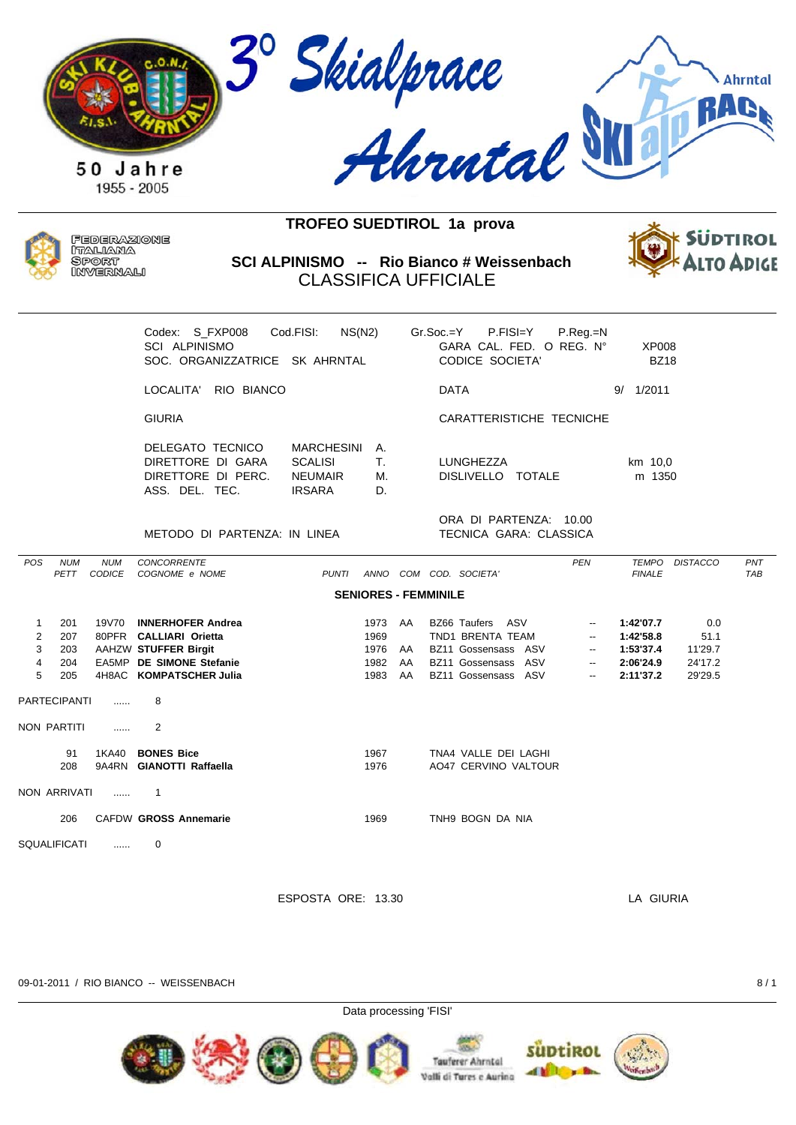



Federazione ITALIANA SPORT INVERNALI

SCI ALPINISMO -- Rio Bianco # Weissenbach **CLASSIFICA UFFICIALE** 



|                                                                              |                                 |                             | Codex: S FXP008<br><b>SCI ALPINISMO</b><br>SOC. ORGANIZZATRICE SK AHRNTAL                                                         | NS(N2)<br>Cod.FISI:                                                    |                                      |                      | $Gr.Soc = Y$<br>P.FISI=Y<br>GARA CAL. FED. O REG. Nº<br><b>CODICE SOCIETA'</b>                            | P.Reg.=N                                                                                                                                 | <b>XP008</b><br><b>BZ18</b>                                   |                                              |                   |
|------------------------------------------------------------------------------|---------------------------------|-----------------------------|-----------------------------------------------------------------------------------------------------------------------------------|------------------------------------------------------------------------|--------------------------------------|----------------------|-----------------------------------------------------------------------------------------------------------|------------------------------------------------------------------------------------------------------------------------------------------|---------------------------------------------------------------|----------------------------------------------|-------------------|
|                                                                              |                                 |                             | LOCALITA'<br>RIO BIANCO                                                                                                           |                                                                        |                                      |                      | <b>DATA</b>                                                                                               |                                                                                                                                          | 9/ 1/2011                                                     |                                              |                   |
|                                                                              |                                 |                             | <b>GIURIA</b>                                                                                                                     |                                                                        |                                      |                      | CARATTERISTICHE TECNICHE                                                                                  |                                                                                                                                          |                                                               |                                              |                   |
|                                                                              |                                 |                             | DELEGATO TECNICO<br>DIRETTORE DI GARA<br>DIRETTORE DI PERC.<br>ASS. DEL. TEC.                                                     | <b>MARCHESINI</b><br><b>SCALISI</b><br><b>NEUMAIR</b><br><b>IRSARA</b> | Α.<br>Τ.<br>М.<br>D.                 |                      | LUNGHEZZA<br>DISLIVELLO TOTALE                                                                            |                                                                                                                                          | km 10,0<br>m 1350                                             |                                              |                   |
|                                                                              |                                 |                             | METODO DI PARTENZA: IN LINEA                                                                                                      |                                                                        |                                      |                      | ORA DI PARTENZA: 10.00<br><b>TECNICA GARA: CLASSICA</b>                                                   |                                                                                                                                          |                                                               |                                              |                   |
| POS                                                                          | <b>NUM</b><br>PETT              | <b>NUM</b><br><b>CODICE</b> | <b>CONCORRENTE</b><br>COGNOME e NOME                                                                                              | <b>PUNTI</b>                                                           |                                      |                      | ANNO COM COD. SOCIETA'                                                                                    | <b>PEN</b>                                                                                                                               | <b>TEMPO</b><br><b>FINALE</b>                                 | <b>DISTACCO</b>                              | PNT<br><b>TAB</b> |
|                                                                              |                                 |                             |                                                                                                                                   |                                                                        |                                      |                      | <b>SENIORES - FEMMINILE</b>                                                                               |                                                                                                                                          |                                                               |                                              |                   |
| $\mathbf{1}$<br>$\overline{\mathbf{c}}$<br>3<br>$\overline{\mathbf{4}}$<br>5 | 201<br>207<br>203<br>204<br>205 | 19V70                       | <b>INNERHOFER Andrea</b><br>80PFR CALLIARI Orietta<br>AAHZW STUFFER Birgit<br>EA5MP DE SIMONE Stefanie<br>4H8AC KOMPATSCHER Julia |                                                                        | 1973<br>1969<br>1976<br>1982<br>1983 | AA<br>AA<br>AA<br>AA | BZ66 Taufers ASV<br>TND1 BRENTA TEAM<br>BZ11 Gossensass ASV<br>BZ11 Gossensass ASV<br>BZ11 Gossensass ASV | $\overline{\phantom{a}}$<br>$\overline{\phantom{a}}$<br>$\overline{\phantom{a}}$<br>$\overline{\phantom{a}}$<br>$\overline{\phantom{a}}$ | 1:42'07.7<br>1:42'58.8<br>1:53'37.4<br>2:06'24.9<br>2:11'37.2 | 0.0<br>51.1<br>11'29.7<br>24'17.2<br>29'29.5 |                   |
|                                                                              | <b>PARTECIPANTI</b>             | .                           | 8                                                                                                                                 |                                                                        |                                      |                      |                                                                                                           |                                                                                                                                          |                                                               |                                              |                   |
|                                                                              | <b>NON PARTITI</b>              | .                           | $\overline{2}$                                                                                                                    |                                                                        |                                      |                      |                                                                                                           |                                                                                                                                          |                                                               |                                              |                   |
|                                                                              | 91<br>208                       | 1KA40                       | <b>BONES Bice</b><br>9A4RN GIANOTTI Raffaella                                                                                     |                                                                        | 1967<br>1976                         |                      | TNA4 VALLE DEI LAGHI<br>AO47 CERVINO VALTOUR                                                              |                                                                                                                                          |                                                               |                                              |                   |

NON ARRIVATI ......  $\overline{1}$ 

> CAFDW GROSS Annemarie 206

**SQUALIFICATI**  $\Omega$ 

ESPOSTA ORE: 13.30

1969

TNH9 BOGN DA NIA

LA GIURIA



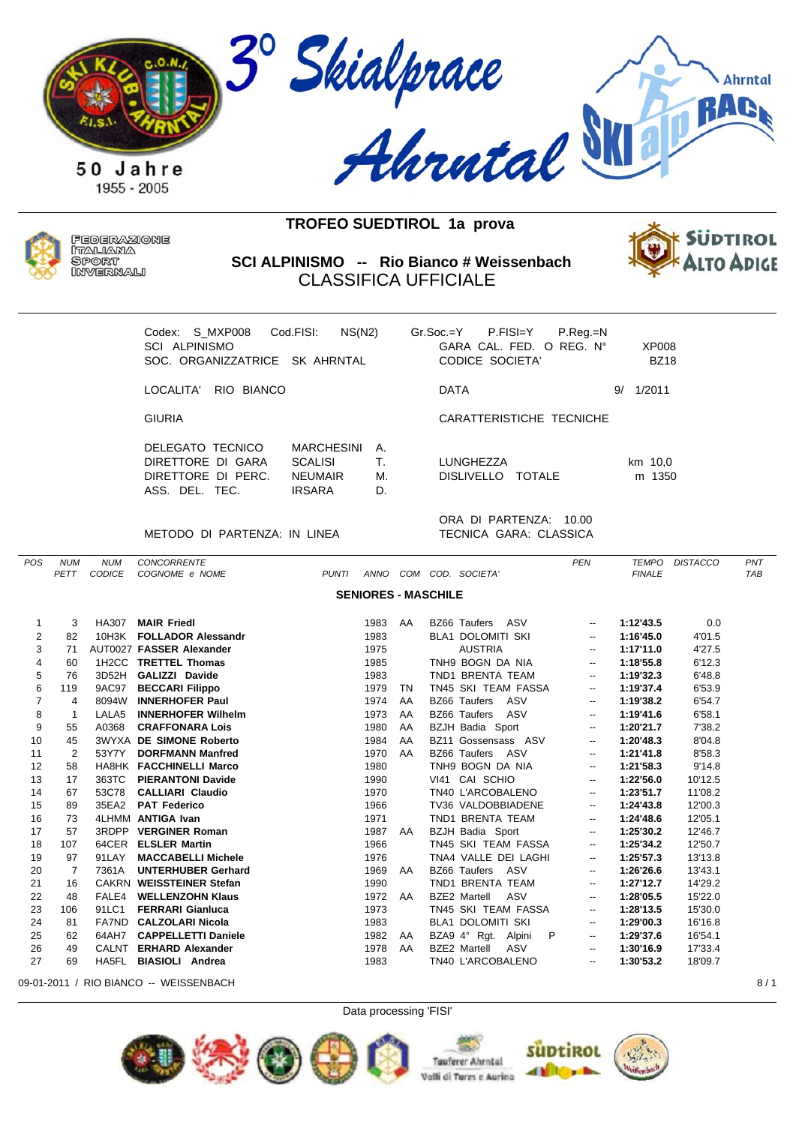



Federazione ITALIANA **SPORT** INVERNALI

**SCI ALPINISMO -- Rio Bianco # Weissenbach** CLASSIFICA UFFICIALE



| Codex: S MXP008<br>SCL ALPINISMO<br>SOC. ORGANIZZATRICE SK AHRNTAL            | NS(N2)<br>Cod.FISI:                                                    |                      |             | $Gr.Soc = Y$ P.FISI $=Y$<br>$GARA$ CAL. FFD. O RFG. $N^{\circ}$<br>CODICE SOCIETA' | $P_{\cdot}$ Reg $_{\cdot}$ =N | XP008<br><b>BZ18</b> |
|-------------------------------------------------------------------------------|------------------------------------------------------------------------|----------------------|-------------|------------------------------------------------------------------------------------|-------------------------------|----------------------|
| LOCALITA' RIO BIANCO                                                          |                                                                        |                      | <b>DATA</b> |                                                                                    |                               | 1/2011<br>9/         |
| <b>GIURIA</b>                                                                 |                                                                        |                      |             | CARATTERISTICHE TECNICHE                                                           |                               |                      |
| DELEGATO TECNICO<br>DIRETTORE DI GARA<br>DIRETTORE DI PERC.<br>ASS. DEL. TEC. | <b>MARCHESINI</b><br><b>SCALISI</b><br><b>NEUMAIR</b><br><b>IRSARA</b> | А.<br>Τ.<br>M.<br>D. | LUNGHEZZA   | DISLIVELLO TOTALE                                                                  |                               | km 10,0<br>m 1350    |
|                                                                               |                                                                        |                      |             | ORA DI PARTENZA:                                                                   | 10.00                         |                      |

METODO DI PARTENZA: IN LINEA TECNICA GARA: CLASSICA

| <b>POS</b>     | <b>NUM</b> | <b>NUM</b>    | <b>CONCORRENTE</b>             |              |                            |    |                            | <b>PEN</b>               | <b>TEMPO</b>  | <b>DISTACCO</b> | PNT        |
|----------------|------------|---------------|--------------------------------|--------------|----------------------------|----|----------------------------|--------------------------|---------------|-----------------|------------|
|                | PETT       | <b>CODICE</b> | COGNOME e NOME                 | <b>PUNTI</b> | ANNO                       |    | COM COD. SOCIETA'          |                          | <b>FINALE</b> |                 | <b>TAB</b> |
|                |            |               |                                |              | <b>SENIORES - MASCHILE</b> |    |                            |                          |               |                 |            |
|                |            |               |                                |              |                            |    |                            |                          |               |                 |            |
| 1              | 3          | HA307         | <b>MAIR Friedl</b>             |              | 1983                       | AA | ASV<br><b>BZ66 Taufers</b> | $\overline{\phantom{a}}$ | 1:12'43.5     | 0.0             |            |
| 2              | 82         | 10H3K         | <b>FOLLADOR Alessandr</b>      |              | 1983                       |    | <b>BLA1 DOLOMITI SKI</b>   | $\overline{\phantom{a}}$ | 1:16'45.0     | 4'01.5          |            |
| 3              | 71         |               | AUT0027 FASSER Alexander       |              | 1975                       |    | <b>AUSTRIA</b>             | $\overline{\phantom{a}}$ | 1:17'11.0     | 4'27.5          |            |
| 4              | 60         | 1H2CC         | <b>TRETTEL Thomas</b>          |              | 1985                       |    | TNH9 BOGN DA NIA           | $\overline{\phantom{a}}$ | 1:18'55.8     | 6'12.3          |            |
| 5              | 76         | 3D52H         | <b>GALIZZI Davide</b>          |              | 1983                       |    | TND1 BRENTA TEAM           | --                       | 1:19'32.3     | 6'48.8          |            |
| 6              | 119        | 9AC97         | <b>BECCARI Filippo</b>         |              | 1979                       | TN | TN45 SKI TEAM FASSA        | $\overline{\phantom{a}}$ | 1:19'37.4     | 6'53.9          |            |
| $\overline{7}$ | 4          | 8094W         | <b>INNERHOFER Paul</b>         |              | 1974                       | AA | ASV<br>BZ66 Taufers        | $\overline{\phantom{a}}$ | 1:19'38.2     | 6'54.7          |            |
| 8              | -1         | LALA5         | <b>INNERHOFER Wilhelm</b>      |              | 1973                       | AA | BZ66 Taufers<br>ASV        | $\overline{\phantom{a}}$ | 1:19'41.6     | 6'58.1          |            |
| 9              | 55         | A0368         | <b>CRAFFONARA Lois</b>         |              | 1980                       | AA | BZJH Badia Sport           | $\overline{\phantom{a}}$ | 1:20'21.7     | 7'38.2          |            |
| 10             | 45         |               | <b>3WYXA DE SIMONE Roberto</b> |              | 1984                       | AA | BZ11 Gossensass ASV        | $\overline{\phantom{a}}$ | 1:20'48.3     | 8'04.8          |            |
| 11             | 2          | 53Y7Y         | <b>DORFMANN Manfred</b>        |              | 1970                       | AA | BZ66 Taufers ASV           | $\overline{\phantom{a}}$ | 1:21'41.8     | 8'58.3          |            |
| 12             | 58         |               | HA8HK FACCHINELLI Marco        |              | 1980                       |    | TNH9 BOGN DA NIA           | $\overline{\phantom{a}}$ | 1:21'58.3     | 9'14.8          |            |
| 13             | 17         | 363TC         | <b>PIERANTONI Davide</b>       |              | 1990                       |    | VI41 CAI SCHIO             | $\overline{\phantom{a}}$ | 1:22'56.0     | 10'12.5         |            |
| 14             | 67         | 53C78         | <b>CALLIARI Claudio</b>        |              | 1970                       |    | TN40 L'ARCOBALENO          | $\overline{\phantom{a}}$ | 1:23'51.7     | 11'08.2         |            |
| 15             | 89         | 35EA2         | <b>PAT Federico</b>            |              | 1966                       |    | TV36 VALDOBBIADENE         | $\overline{\phantom{a}}$ | 1:24'43.8     | 12'00.3         |            |
| 16             | 73         |               | 4LHMM ANTIGA Ivan              |              | 1971                       |    | TND1 BRENTA TEAM           | $\overline{\phantom{a}}$ | 1:24'48.6     | 12'05.1         |            |
| 17             | 57         |               | 3RDPP VERGINER Roman           |              | 1987                       | AA | BZJH Badia Sport           | $\overline{\phantom{a}}$ | 1:25'30.2     | 12'46.7         |            |
| 18             | 107        |               | 64CER ELSLER Martin            |              | 1966                       |    | TN45 SKI TEAM FASSA        | $\overline{\phantom{a}}$ | 1:25'34.2     | 12'50.7         |            |
| 19             | 97         | 91LAY         | <b>MACCABELLI Michele</b>      |              | 1976                       |    | TNA4 VALLE DEI LAGHI       | $\overline{\phantom{a}}$ | 1:25'57.3     | 13'13.8         |            |
| 20             | 7          | 7361A         | <b>UNTERHUBER Gerhard</b>      |              | 1969                       | AA | ASV<br>BZ66 Taufers        | $\overline{\phantom{a}}$ | 1:26'26.6     | 13'43.1         |            |
| 21             | 16         |               | CAKRN WEISSTEINER Stefan       |              | 1990                       |    | TND1 BRENTA TEAM           | $\overline{\phantom{a}}$ | 1:27'12.7     | 14'29.2         |            |
| 22             | 48         | FALE4         | <b>WELLENZOHN Klaus</b>        |              | 1972                       | AA | <b>BZE2 Martell</b><br>ASV | $\overline{\phantom{a}}$ | 1:28'05.5     | 15'22.0         |            |
| 23             | 106        | 91LC1         | <b>FERRARI Gianluca</b>        |              | 1973                       |    | TN45 SKI TEAM FASSA        | $\overline{\phantom{a}}$ | 1:28'13.5     | 15'30.0         |            |
| 24             | 81         |               | FA7ND CALZOLARI Nicola         |              | 1983                       |    | <b>BLA1 DOLOMITI SKI</b>   | --                       | 1:29'00.3     | 16'16.8         |            |
| 25             | 62         | 64AH7         | <b>CAPPELLETTI Daniele</b>     |              | 1982                       | AA | BZA9 4° Rgt. Alpini<br>P   | $\overline{\phantom{a}}$ | 1:29'37.6     | 16'54.1         |            |
| 26             | 49         | CALNT         | <b>ERHARD Alexander</b>        |              | 1978                       | AA | <b>BZE2 Martell</b><br>ASV | $\overline{\phantom{a}}$ | 1:30'16.9     | 17'33.4         |            |
| 27             | 69         | HA5FL         | <b>BIASIOLI</b> Andrea         |              | 1983                       |    | TN40 L'ARCOBALENO          | $\overline{\phantom{a}}$ | 1:30'53.2     | 18'09.7         |            |
|                |            |               |                                |              |                            |    |                            |                          |               |                 |            |

09-01-2011 / RIO BIANCO -- WEISSENBACH 8 / 1





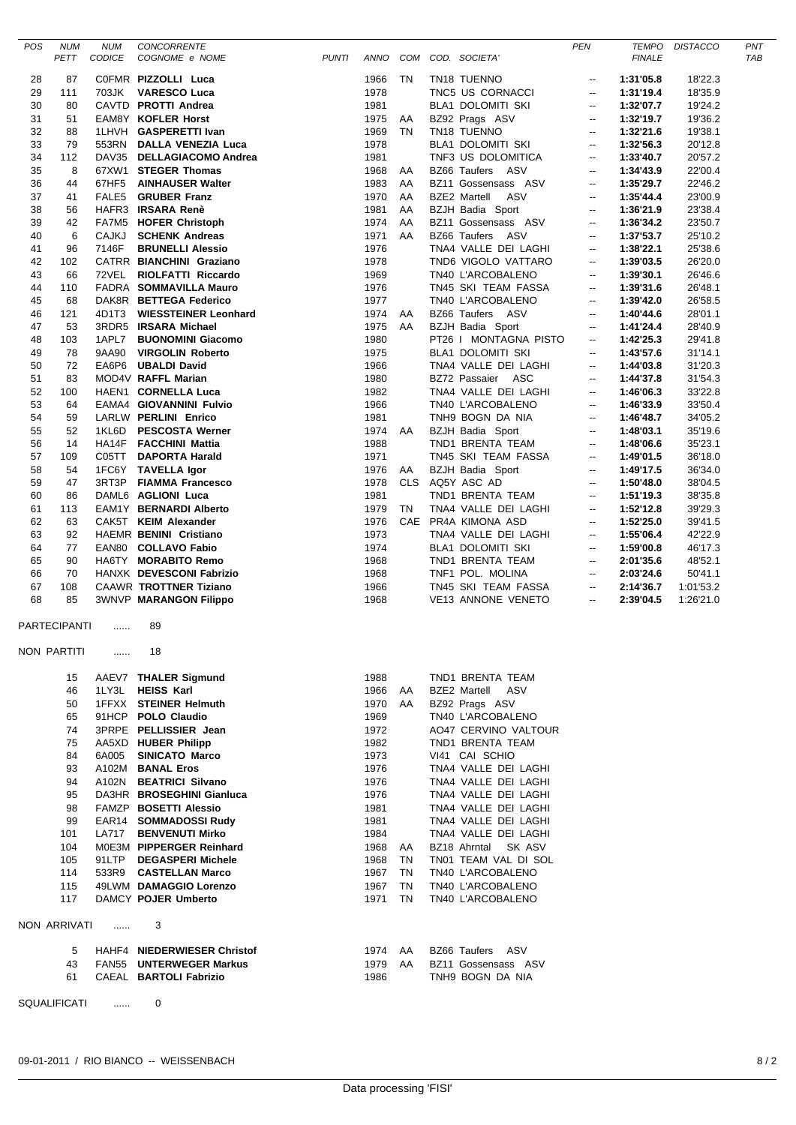| POS      | <b>NUM</b><br>PETT | <b>NUM</b><br>CODICE | <b>CONCORRENTE</b><br>COGNOME e NOME                | <b>PUNTI</b> |              |           | ANNO COM COD. SOCIETA'                           | <b>PEN</b>                                           | <b>TEMPO</b><br><b>FINALE</b> | <b>DISTACCO</b>    | PN <sub>1</sub><br>TAE |
|----------|--------------------|----------------------|-----------------------------------------------------|--------------|--------------|-----------|--------------------------------------------------|------------------------------------------------------|-------------------------------|--------------------|------------------------|
|          |                    |                      |                                                     |              |              |           |                                                  |                                                      |                               |                    |                        |
| 28       | 87                 |                      | COFMR PIZZOLLI Luca                                 |              | 1966         | TN        | TN18 TUENNO                                      | $\overline{\phantom{a}}$                             | 1:31'05.8                     | 18'22.3            |                        |
| 29       | 111                |                      | 703JK VARESCO Luca                                  |              | 1978         |           | TNC5 US CORNACCI                                 | $\overline{\phantom{a}}$                             | 1:31'19.4                     | 18'35.9            |                        |
| 30       | 80                 |                      | CAVTD PROTTI Andrea                                 |              | 1981         |           | BLA1 DOLOMITI SKI                                | $\overline{\phantom{a}}$                             | 1:32'07.7                     | 19'24.2            |                        |
| 31       | 51                 |                      | EAM8Y KOFLER Horst                                  |              | 1975         | AA        | BZ92 Prags ASV                                   | $\overline{\phantom{a}}$                             | 1:32'19.7                     | 19'36.2            |                        |
| 32<br>33 | 88<br>79           |                      | 1LHVH GASPERETTI Ivan<br>553RN DALLA VENEZIA Luca   |              | 1969<br>1978 | <b>TN</b> | TN18 TUENNO<br><b>BLA1 DOLOMITI SKI</b>          | $\overline{\phantom{a}}$<br>$\overline{\phantom{a}}$ | 1:32'21.6<br>1:32'56.3        | 19'38.1<br>20'12.8 |                        |
| 34       | 112                |                      | DAV35 DELLAGIACOMO Andrea                           |              | 1981         |           | TNF3 US DOLOMITICA                               | $\overline{\phantom{a}}$                             | 1:33'40.7                     | 20'57.2            |                        |
| 35       | 8                  |                      | 67XW1 STEGER Thomas                                 |              | 1968         | AA        | BZ66 Taufers ASV                                 | $\overline{\phantom{a}}$                             | 1:34'43.9                     | 22'00.4            |                        |
| 36       | 44                 |                      | 67HF5 AINHAUSER Walter                              |              | 1983         | AA        | BZ11 Gossensass ASV                              | $\overline{\phantom{a}}$                             | 1:35'29.7                     | 22'46.2            |                        |
| 37       | 41                 |                      | FALE5 GRUBER Franz                                  |              | 1970         | AA        | BZE2 Martell ASV                                 | $\overline{\phantom{a}}$                             | 1:35'44.4                     | 23'00.9            |                        |
| 38       | 56                 |                      | HAFR3 IRSARA Renè                                   |              | 1981         | AA        | <b>BZJH Badia Sport</b>                          | $\overline{\phantom{a}}$                             | 1:36'21.9                     | 23'38.4            |                        |
| 39       | 42                 |                      | FA7M5 HOFER Christoph                               |              | 1974         | AA        | BZ11 Gossensass ASV                              | $\overline{\phantom{a}}$                             | 1:36'34.2                     | 23'50.7            |                        |
| 40       | 6                  | <b>CAJKJ</b>         | <b>SCHENK Andreas</b>                               |              | 1971         | AA        | BZ66 Taufers ASV                                 | $\overline{\phantom{a}}$                             | 1:37'53.7                     | 25'10.2            |                        |
| 41       | 96                 | 7146F                | <b>BRUNELLI Alessio</b>                             |              | 1976         |           | TNA4 VALLE DEI LAGHI                             | $\overline{\phantom{a}}$                             | 1:38'22.1                     | 25'38.6            |                        |
| 42       | 102                |                      | CATRR BIANCHINI Graziano                            |              | 1978         |           | TND6 VIGOLO VATTARO                              | $\overline{\phantom{a}}$                             | 1:39'03.5                     | 26'20.0            |                        |
| 43       | 66                 |                      | 72VEL RIOLFATTI Riccardo                            |              | 1969         |           | TN40 L'ARCOBALENO                                | $\overline{\phantom{a}}$                             | 1:39'30.1                     | 26'46.6            |                        |
| 44       | 110                |                      | FADRA SOMMAVILLA Mauro                              |              | 1976         |           | TN45 SKI TEAM FASSA                              | $\overline{\phantom{a}}$                             | 1:39'31.6                     | 26'48.1            |                        |
| 45       | 68                 |                      | DAK8R BETTEGA Federico                              |              | 1977         |           | TN40 L'ARCOBALENO                                | $\overline{\phantom{a}}$                             | 1:39'42.0                     | 26'58.5            |                        |
| 46       | 121                |                      | 4D1T3 WIESSTEINER Leonhard<br>3RDR5 IRSARA Michael  |              | 1974         | AA        | BZ66 Taufers ASV                                 | $\overline{\phantom{a}}$                             | 1:40'44.6<br>1:41'24.4        | 28'01.1            |                        |
| 47<br>48 | 53<br>103          | 1APL7                | <b>BUONOMINI Giacomo</b>                            |              | 1975<br>1980 | AA        | <b>BZJH Badia Sport</b><br>PT26 I MONTAGNA PISTO | $\overline{\phantom{a}}$<br>$\overline{\phantom{a}}$ | 1:42'25.3                     | 28'40.9<br>29'41.8 |                        |
| 49       | 78                 | 9AA90                | <b>VIRGOLIN Roberto</b>                             |              | 1975         |           | <b>BLA1 DOLOMITI SKI</b>                         | $\overline{\phantom{a}}$                             | 1:43'57.6                     | 31'14.1            |                        |
| 50       | 72                 |                      | EA6P6 UBALDI David                                  |              | 1966         |           | TNA4 VALLE DEI LAGHI                             | $\overline{\phantom{a}}$                             | 1:44'03.8                     | 31'20.3            |                        |
| 51       | 83                 |                      | MOD4V RAFFL Marian                                  |              | 1980         |           | BZ72 Passaier ASC                                | $\overline{\phantom{a}}$                             | 1:44'37.8                     | 31'54.3            |                        |
| 52       | 100                |                      | HAEN1 CORNELLA Luca                                 |              | 1982         |           | TNA4 VALLE DEI LAGHI                             | $\overline{\phantom{a}}$                             | 1:46'06.3                     | 33'22.8            |                        |
| 53       | 64                 |                      | EAMA4 GIOVANNINI Fulvio                             |              | 1966         |           | TN40 L'ARCOBALENO                                | $\overline{\phantom{a}}$                             | 1:46'33.9                     | 33'50.4            |                        |
| 54       | 59                 |                      | LARLW PERLINI Enrico                                |              | 1981         |           | TNH9 BOGN DA NIA                                 | $\overline{\phantom{a}}$                             | 1:46'48.7                     | 34'05.2            |                        |
| 55       | 52                 |                      | 1KL6D PESCOSTA Werner                               |              | 1974         | AA        | <b>BZJH Badia Sport</b>                          | $\overline{\phantom{a}}$                             | 1:48'03.1                     | 35'19.6            |                        |
| 56       | 14                 |                      | HA14F FACCHINI Mattia                               |              | 1988         |           | TND1 BRENTA TEAM                                 | $\overline{\phantom{a}}$                             | 1:48'06.6                     | 35'23.1            |                        |
| 57       | 109                |                      | C05TT DAPORTA Harald                                |              | 1971         |           | TN45 SKI TEAM FASSA                              | $\overline{\phantom{a}}$                             | 1:49'01.5                     | 36'18.0            |                        |
| 58       | 54                 |                      | 1FC6Y TAVELLA Igor                                  |              | 1976         | AA        | <b>BZJH Badia Sport</b>                          | $\overline{\phantom{a}}$                             | 1:49'17.5                     | 36'34.0            |                        |
| 59       | 47                 |                      | 3RT3P FIAMMA Francesco                              |              | 1978         |           | CLS AQ5Y ASC AD                                  | $\overline{\phantom{a}}$                             | 1:50'48.0                     | 38'04.5            |                        |
| 60       | 86                 |                      | DAML6 AGLIONI Luca                                  |              | 1981         |           | TND1 BRENTA TEAM                                 | $\overline{\phantom{a}}$                             | 1:51'19.3                     | 38'35.8            |                        |
| 61<br>62 | 113<br>63          |                      | EAM1Y BERNARDI Alberto<br>CAK5T KEIM Alexander      |              | 1979<br>1976 | TN        | TNA4 VALLE DEI LAGHI<br>CAE PR4A KIMONA ASD      | $\overline{\phantom{a}}$                             | 1:52'12.8<br>1:52'25.0        | 39'29.3<br>39'41.5 |                        |
| 63       | 92                 |                      | HAEMR BENINI Cristiano                              |              | 1973         |           | TNA4 VALLE DEI LAGHI                             | $\overline{\phantom{a}}$<br>$\overline{\phantom{a}}$ | 1:55'06.4                     | 42'22.9            |                        |
| 64       | 77                 |                      | EAN80 COLLAVO Fabio                                 |              | 1974         |           | BLA1 DOLOMITI SKI                                | $\overline{\phantom{a}}$                             | 1:59'00.8                     | 46'17.3            |                        |
| 65       | 90                 |                      | HA6TY MORABITO Remo                                 |              | 1968         |           | TND1 BRENTA TEAM                                 | $\overline{\phantom{a}}$                             | 2:01'35.6                     | 48'52.1            |                        |
| 66       | 70                 |                      | HANXK DEVESCONI Fabrizio                            |              | 1968         |           | TNF1 POL. MOLINA                                 | $\overline{\phantom{a}}$                             | 2:03'24.6                     | 50'41.1            |                        |
| 67       | 108                |                      | CAAWR TROTTNER Tiziano                              |              | 1966         |           | TN45 SKI TEAM FASSA                              | $\overline{\phantom{a}}$                             | 2:14'36.7                     | 1:01'53.2          |                        |
| 68       | 85                 |                      | <b>3WNVP MARANGON Filippo</b>                       |              | 1968         |           | VE13 ANNONE VENETO                               | $\overline{\phantom{a}}$                             | 2:39'04.5                     | 1:26'21.0          |                        |
|          | PARTECIPANTI       | .                    | 89                                                  |              |              |           |                                                  |                                                      |                               |                    |                        |
|          | NON PARTITI        | .                    | 18                                                  |              |              |           |                                                  |                                                      |                               |                    |                        |
|          | 15                 |                      | AAEV7 THALER Sigmund                                |              | 1988         |           | TND1 BRENTA TEAM                                 |                                                      |                               |                    |                        |
|          | 46                 |                      | 1LY3L HEISS Karl                                    |              | 1966         | AA        | BZE2 Martell ASV                                 |                                                      |                               |                    |                        |
|          | 50                 |                      | 1FFXX STEINER Helmuth                               |              | 1970         | AA        | BZ92 Prags ASV                                   |                                                      |                               |                    |                        |
|          | 65                 |                      | 91HCP POLO Claudio                                  |              | 1969         |           | TN40 L'ARCOBALENO                                |                                                      |                               |                    |                        |
|          | 74                 |                      | 3PRPE PELLISSIER Jean                               |              | 1972         |           | AO47 CERVINO VALTOUR                             |                                                      |                               |                    |                        |
|          | 75                 |                      | AA5XD HUBER Philipp                                 |              | 1982         |           | TND1 BRENTA TEAM                                 |                                                      |                               |                    |                        |
|          | 84                 | 6A005                | <b>SINICATO Marco</b>                               |              | 1973         |           | VI41 CAI SCHIO                                   |                                                      |                               |                    |                        |
|          | 93                 |                      | A102M BANAL Eros                                    |              | 1976         |           | TNA4 VALLE DEI LAGHI                             |                                                      |                               |                    |                        |
|          | 94                 |                      | A102N BEATRICI Silvano<br>DA3HR BROSEGHINI Gianluca |              | 1976<br>1976 |           | TNA4 VALLE DEI LAGHI<br>TNA4 VALLE DEI LAGHI     |                                                      |                               |                    |                        |
|          | 95<br>98           |                      | FAMZP BOSETTI Alessio                               |              | 1981         |           | TNA4 VALLE DEI LAGHI                             |                                                      |                               |                    |                        |
|          | 99                 |                      | EAR14 SOMMADOSSI Rudy                               |              | 1981         |           | TNA4 VALLE DEI LAGHI                             |                                                      |                               |                    |                        |
|          | 101                |                      | LA717 BENVENUTI Mirko                               |              | 1984         |           | TNA4 VALLE DEI LAGHI                             |                                                      |                               |                    |                        |
|          | 104                |                      | MOE3M PIPPERGER Reinhard                            |              | 1968         | AA        | BZ18 Ahrntal SK ASV                              |                                                      |                               |                    |                        |
|          | 105                |                      | 91LTP DEGASPERI Michele                             |              | 1968         | TN        | TN01 TEAM VAL DI SOL                             |                                                      |                               |                    |                        |
|          | 114                |                      | 533R9 CASTELLAN Marco                               |              | 1967         | TN        | TN40 L'ARCOBALENO                                |                                                      |                               |                    |                        |
|          | 115                |                      | 49LWM DAMAGGIO Lorenzo                              |              | 1967         | <b>TN</b> | TN40 L'ARCOBALENO                                |                                                      |                               |                    |                        |
|          | 117                |                      | DAMCY POJER Umberto                                 |              | 1971         | <b>TN</b> | TN40 L'ARCOBALENO                                |                                                      |                               |                    |                        |
|          | NON ARRIVATI       | $\ldots$             | 3                                                   |              |              |           |                                                  |                                                      |                               |                    |                        |
|          | 5                  |                      | HAHF4 NIEDERWIESER Christof                         |              | 1974 AA      |           | BZ66 Taufers ASV                                 |                                                      |                               |                    |                        |
|          | 43                 |                      | FAN55 UNTERWEGER Markus                             |              | 1979         | AA        | BZ11 Gossensass ASV                              |                                                      |                               |                    |                        |
|          | 61                 |                      | CAEAL BARTOLI Fabrizio                              |              | 1986         |           | TNH9 BOGN DA NIA                                 |                                                      |                               |                    |                        |
|          | SQUALIFICATI       | $\cdots$             | 0                                                   |              |              |           |                                                  |                                                      |                               |                    |                        |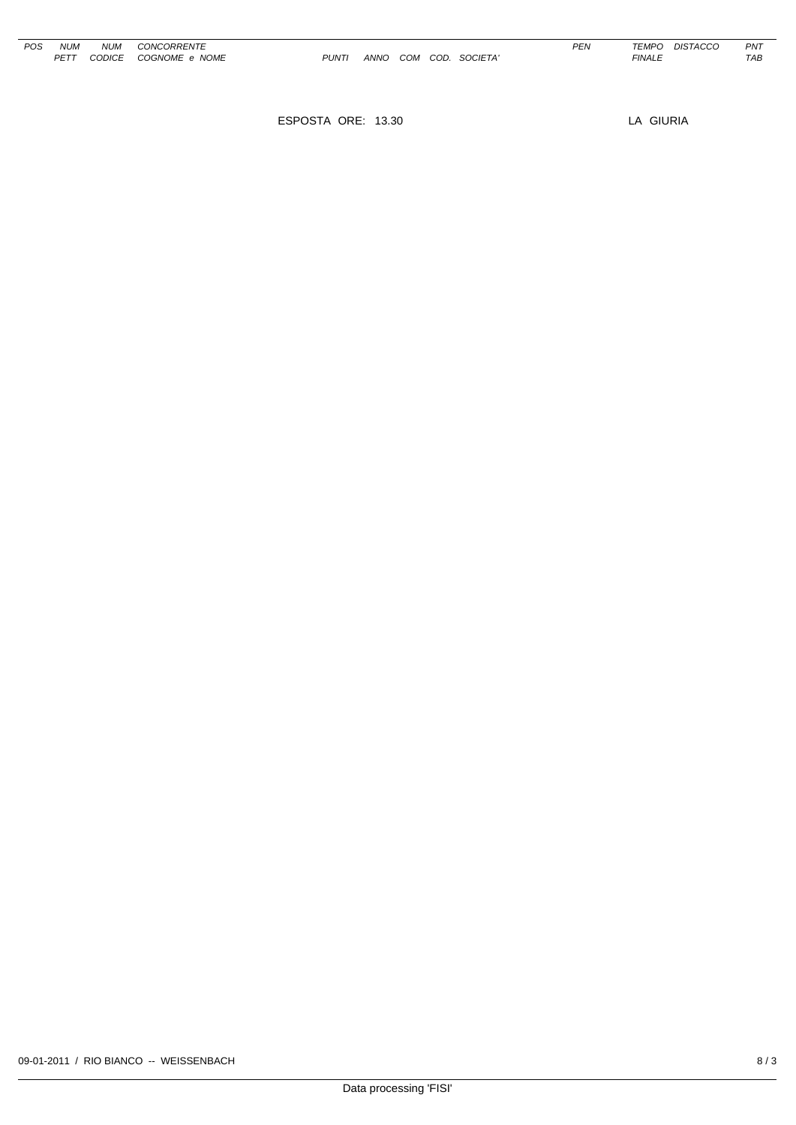| POS | NI IM | NI IM  | CONCORRENTE    |
|-----|-------|--------|----------------|
|     | PFTT  | CODICE | COGNOME e NOME |

**PUNTI ANNO COM COD. SOCIETA'** 

ESPOSTA ORE: 13.30 LA GIURIA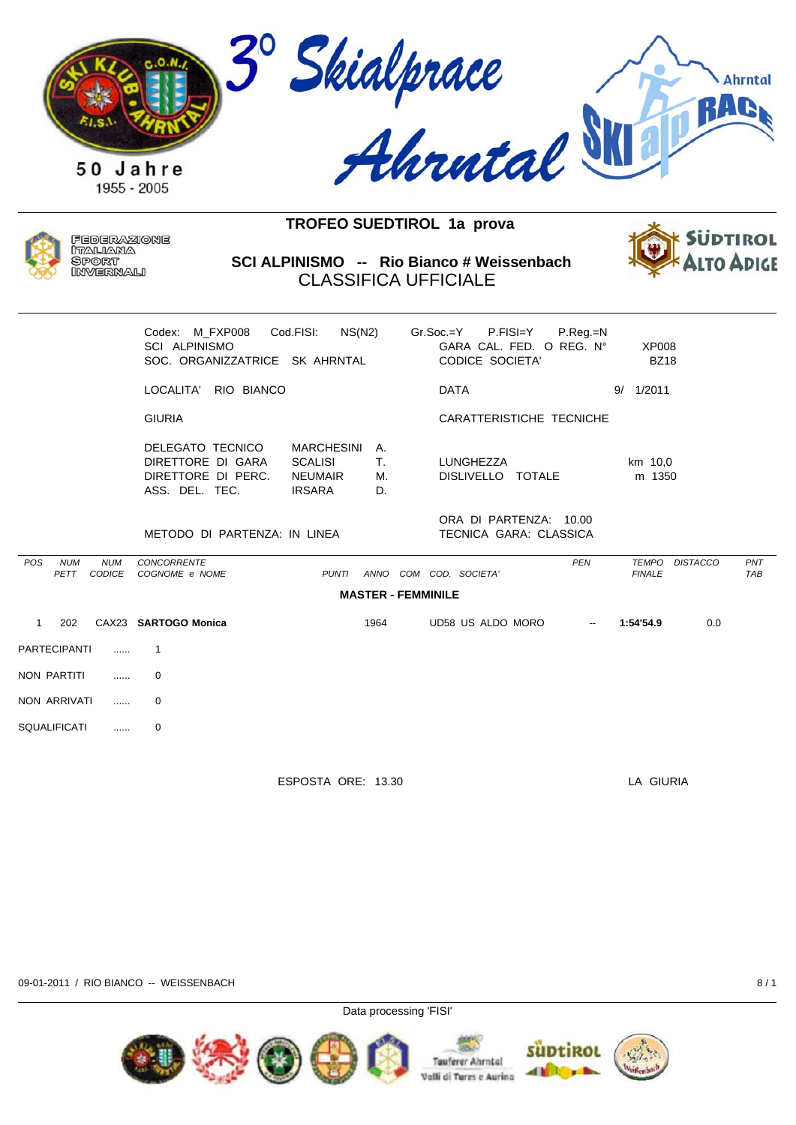



POS

 $\overline{1}$ 

PET

Federazione ITALIANA **SPORT** INVERNALI

SCI ALPINISMO -- Rio Bianco # Weissenbach **CLASSIFICA UFFICIALE** 



|                    |                             | Codex: M FXP008<br><b>SCI ALPINISMO</b><br>SOC. ORGANIZZATRICE SK AHRNTAL     | Cod.FISI:<br>NS(N2)                                                    |                           | $Gr.Soc = Y$ $P.FIS = Y$<br>GARA CAL. FED. O REG. N°<br><b>CODICE SOCIETA'</b> | P.Reg.=N   | <b>XP008</b><br><b>BZ18</b>   |                 |                   |
|--------------------|-----------------------------|-------------------------------------------------------------------------------|------------------------------------------------------------------------|---------------------------|--------------------------------------------------------------------------------|------------|-------------------------------|-----------------|-------------------|
|                    |                             | RIO BIANCO<br>LOCALITA'                                                       |                                                                        |                           | <b>DATA</b>                                                                    |            | 9/ 1/2011                     |                 |                   |
|                    |                             | <b>GIURIA</b>                                                                 |                                                                        |                           | CARATTERISTICHE TECNICHE                                                       |            |                               |                 |                   |
|                    |                             | DELEGATO TECNICO<br>DIRETTORE DI GARA<br>DIRETTORE DI PERC.<br>ASS. DEL. TEC. | <b>MARCHESINI</b><br><b>SCALISI</b><br><b>NEUMAIR</b><br><b>IRSARA</b> | Α.<br>Τ.<br>М.<br>D.      | <b>LUNGHEZZA</b><br>DISLIVELLO TOTALE                                          |            | km 10,0<br>m 1350             |                 |                   |
|                    |                             | METODO DI PARTENZA: IN LINEA                                                  |                                                                        |                           | ORA DI PARTENZA: 10.00<br>TECNICA GARA: CLASSICA                               |            |                               |                 |                   |
| <b>NUM</b><br>PETT | <b>NUM</b><br><b>CODICE</b> | <b>CONCORRENTE</b><br>COGNOME e NOME                                          | <b>PUNTI</b>                                                           | ANNO                      | COM COD. SOCIETA'                                                              | <b>PEN</b> | <b>TEMPO</b><br><b>FINALE</b> | <b>DISTACCO</b> | PNT<br><b>TAB</b> |
|                    |                             |                                                                               |                                                                        | <b>MASTER - FEMMINILE</b> |                                                                                |            |                               |                 |                   |
| 202                |                             | CAX23 SARTOGO Monica                                                          |                                                                        | 1964                      | UD58 US ALDO MORO                                                              |            | 1:54'54.9                     | 0.0             |                   |
|                    |                             |                                                                               |                                                                        |                           |                                                                                |            |                               |                 |                   |

| <b>PARTECIPANTI</b> |   |
|---------------------|---|
| NON PARTITI         | ი |
| NON ARRIVATI        | ŋ |
| <b>SQUALIFICATI</b> |   |

ESPOSTA ORE: 13.30

LA GIURIA

09-01-2011 / RIO BIANCO -- WEISSENBACH

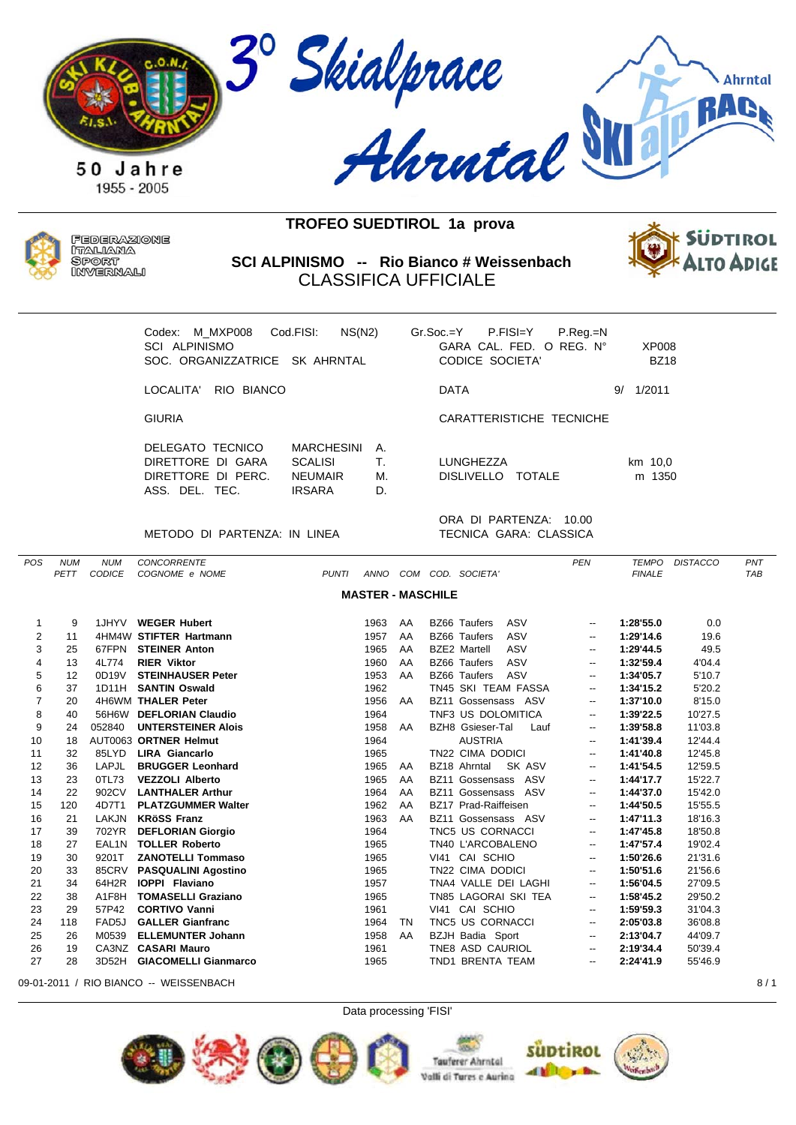



Federazione ITALIANA **SPORT** INVERNALI

**SCI ALPINISMO -- Rio Bianco # Weissenbach** CLASSIFICA UFFICIALE



| Codex: M MXP008<br>SCI ALPINISMO<br>SOC. ORGANIZZATRICE SK AHRNTAL          | NS(N2)<br>Cod.FISI:                                                    |                      | $Gr.Soc = Y$ P.FISI=Y<br>CODICE SOCIETA' | $P_{\cdot}$ Reg $_{\cdot}$ =N<br>GARA CAL. FED. O REG. N° | XP008<br><b>BZ18</b> |
|-----------------------------------------------------------------------------|------------------------------------------------------------------------|----------------------|------------------------------------------|-----------------------------------------------------------|----------------------|
| I OCAI ITA'<br>RIO BIANCO                                                   |                                                                        |                      | <b>DATA</b>                              |                                                           | 1/2011<br>9/         |
| <b>GIURIA</b>                                                               |                                                                        |                      |                                          | CARATTERISTICHE TECNICHE                                  |                      |
| DELEGATO TECNICO<br>DIRETTORE DI GARA<br>DIRETTORE DI PERC.<br>ASS DEL TEC. | <b>MARCHESINI</b><br><b>SCALISI</b><br><b>NEUMAIR</b><br><b>IRSARA</b> | А.<br>Τ.<br>М.<br>D. | LUNGHEZZA                                | DISLIVELLO TOTALE                                         | km 10,0<br>m 1350    |
|                                                                             |                                                                        |                      |                                          | ORA DI PARTENZA:<br>- 10.00                               |                      |

METODO DI PARTENZA: IN LINEA TECNICA GARA: CLASSICA

ORA DI PARTENZA: 10.00

| POS            | <b>NUM</b> | <b>NUM</b>    | <b>CONCORRENTE</b>          |                          |    |                                 | <b>PEN</b>               | <b>TEMPO</b>  | <b>DISTACCO</b> | PNT        |
|----------------|------------|---------------|-----------------------------|--------------------------|----|---------------------------------|--------------------------|---------------|-----------------|------------|
|                | PETT       | <b>CODICE</b> | COGNOME e NOME              | <b>PUNTI</b><br>ANNO     |    | COM COD. SOCIETA'               |                          | <b>FINALE</b> |                 | <b>TAB</b> |
|                |            |               |                             | <b>MASTER - MASCHILE</b> |    |                                 |                          |               |                 |            |
|                |            |               |                             |                          |    |                                 |                          |               |                 |            |
| 1              | 9          |               | 1JHYV WEGER Hubert          | 1963                     | AA | <b>BZ66 Taufers</b><br>ASV      | --                       | 1:28'55.0     | 0.0             |            |
| 2              | 11         |               | 4HM4W STIFTER Hartmann      | 1957                     | AA | ASV<br><b>BZ66 Taufers</b>      | $\overline{\phantom{a}}$ | 1:29'14.6     | 19.6            |            |
| 3              | 25         |               | 67FPN STEINER Anton         | 1965                     | AA | <b>BZE2 Martell</b><br>ASV      | $\overline{\phantom{a}}$ | 1:29'44.5     | 49.5            |            |
| 4              | 13         | 4L774         | <b>RIER Viktor</b>          | 1960                     | AA | <b>BZ66 Taufers</b><br>ASV      | --                       | 1:32'59.4     | 4'04.4          |            |
| 5              | 12         | 0D19V         | <b>STEINHAUSER Peter</b>    | 1953                     | AA | <b>BZ66 Taufers</b><br>ASV      | $\overline{\phantom{a}}$ | 1:34'05.7     | 5'10.7          |            |
| 6              | 37         | 1D11H         | <b>SANTIN Oswald</b>        | 1962                     |    | TN45 SKI TEAM FASSA             | --                       | 1:34'15.2     | 5'20.2          |            |
| $\overline{7}$ | 20         |               | 4H6WM THALER Peter          | 1956                     | AA | BZ11 Gossensass ASV             | --                       | 1:37'10.0     | 8'15.0          |            |
| 8              | 40         | 56H6W         | <b>DEFLORIAN Claudio</b>    | 1964                     |    | TNF3 US DOLOMITICA              | $\overline{\phantom{a}}$ | 1:39'22.5     | 10'27.5         |            |
| 9              | 24         | 052840        | <b>UNTERSTEINER Alois</b>   | 1958                     | AA | <b>BZH8</b> Gsieser-Tal<br>Lauf | $\overline{\phantom{a}}$ | 1:39'58.8     | 11'03.8         |            |
| 10             | 18         |               | AUT0063 ORTNER Helmut       | 1964                     |    | <b>AUSTRIA</b>                  | $\overline{\phantom{a}}$ | 1:41'39.4     | 12'44.4         |            |
| 11             | 32         | 85LYD         | <b>LIRA Giancarlo</b>       | 1965                     |    | TN22 CIMA DODICI                | $\overline{\phantom{a}}$ | 1:41'40.8     | 12'45.8         |            |
| 12             | 36         | <b>LAPJL</b>  | <b>BRUGGER Leonhard</b>     | 1965                     | AA | BZ18 Ahrntal<br>SK ASV          | $\overline{\phantom{a}}$ | 1:41'54.5     | 12'59.5         |            |
| 13             | 23         | 0TL73         | <b>VEZZOLI Alberto</b>      | 1965                     | AA | BZ11 Gossensass ASV             | $\overline{\phantom{a}}$ | 1:44'17.7     | 15'22.7         |            |
| 14             | 22         | 902CV         | <b>LANTHALER Arthur</b>     | 1964                     | AA | BZ11 Gossensass ASV             | $\overline{\phantom{a}}$ | 1:44'37.0     | 15'42.0         |            |
| 15             | 120        | 4D7T1         | <b>PLATZGUMMER Walter</b>   | 1962                     | AA | BZ17 Prad-Raiffeisen            | $\overline{\phantom{a}}$ | 1:44'50.5     | 15'55.5         |            |
| 16             | 21         | LAKJN         | <b>KRöSS Franz</b>          | 1963                     | AA | BZ11 Gossensass ASV             | $\overline{\phantom{a}}$ | 1:47'11.3     | 18'16.3         |            |
| 17             | 39         | 702YR         | <b>DEFLORIAN Giorgio</b>    | 1964                     |    | TNC5 US CORNACCI                | --                       | 1:47'45.8     | 18'50.8         |            |
| 18             | 27         | EAL1N         | <b>TOLLER Roberto</b>       | 1965                     |    | TN40 L'ARCOBALENO               | $\overline{\phantom{a}}$ | 1:47'57.4     | 19'02.4         |            |
| 19             | 30         | 9201T         | <b>ZANOTELLI Tommaso</b>    | 1965                     |    | VI41 CAI SCHIO                  | $\overline{\phantom{a}}$ | 1:50'26.6     | 21'31.6         |            |
| 20             | 33         | 85CRV         | <b>PASQUALINI Agostino</b>  | 1965                     |    | TN22 CIMA DODICI                | $\overline{\phantom{a}}$ | 1:50'51.6     | 21'56.6         |            |
| 21             | 34         | 64H2R         | <b>IOPPI Flaviano</b>       | 1957                     |    | TNA4 VALLE DEI LAGHI            | $\overline{\phantom{a}}$ | 1:56'04.5     | 27'09.5         |            |
| 22             | 38         | A1F8H         | <b>TOMASELLI Graziano</b>   | 1965                     |    | TN85 LAGORAI SKI TEA            | $\overline{\phantom{a}}$ | 1:58'45.2     | 29'50.2         |            |
| 23             | 29         | 57P42         | <b>CORTIVO Vanni</b>        | 1961                     |    | VI41 CAI SCHIO                  | $\overline{\phantom{a}}$ | 1:59'59.3     | 31'04.3         |            |
| 24             | 118        | FAD5J         | <b>GALLER Gianfranc</b>     | 1964                     | TN | TNC5 US CORNACCI                | $\overline{\phantom{a}}$ | 2:05'03.8     | 36'08.8         |            |
| 25             | 26         | M0539         | <b>ELLEMUNTER Johann</b>    | 1958                     | AA | <b>BZJH Badia Sport</b>         | --                       | 2:13'04.7     | 44'09.7         |            |
| 26             | 19         |               | CA3NZ CASARI Mauro          | 1961                     |    | TNE8 ASD CAURIOL                | --                       | 2:19'34.4     | 50'39.4         |            |
| 27             | 28         | 3D52H         | <b>GIACOMELLI Gianmarco</b> | 1965                     |    | TND1 BRENTA TEAM                | $\overline{\phantom{a}}$ | 2:24'41.9     | 55'46.9         |            |
|                |            |               |                             |                          |    |                                 |                          |               |                 |            |

09-01-2011 / RIO BIANCO -- WEISSENBACH 8 / 1

Data processing 'FISI'



Valli di Tures e Aurina

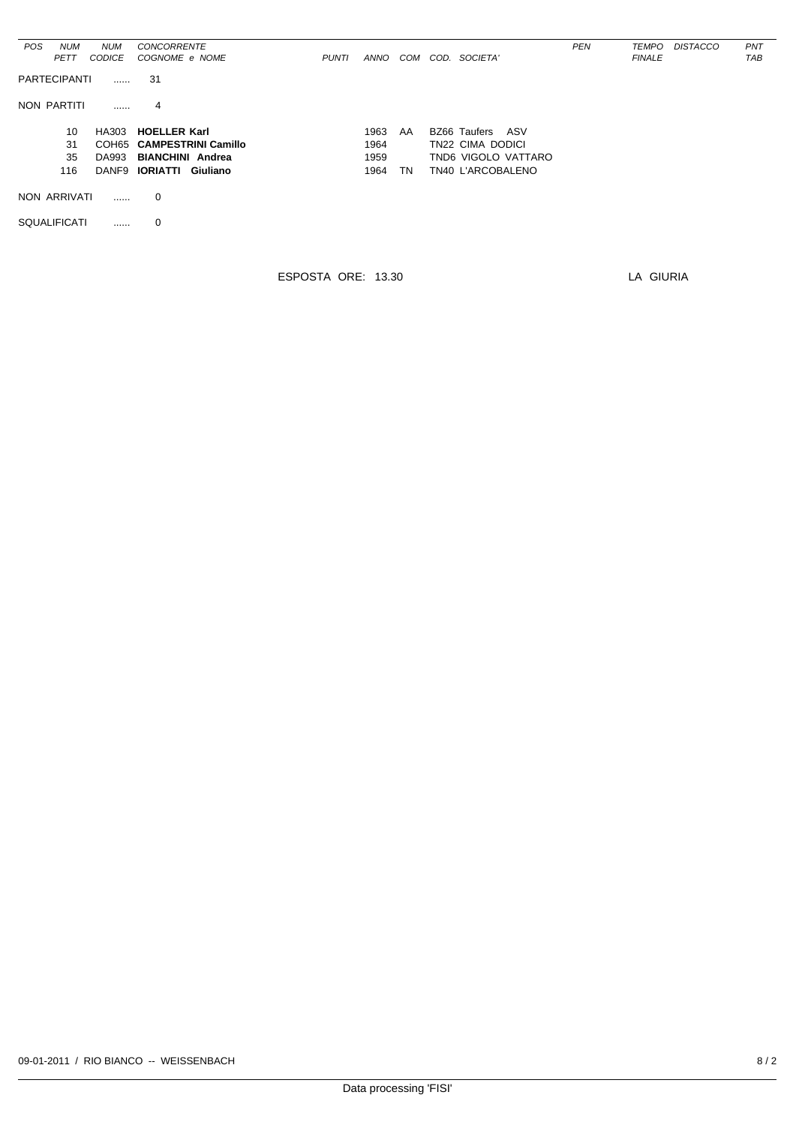| <b>POS</b> | <b>NUM</b>          | <b>NUM</b>    | <b>CONCORRENTE</b>             |              |             |     |                     | <b>PEN</b> | TEMPO         | <b>DISTACCO</b> | PNT        |
|------------|---------------------|---------------|--------------------------------|--------------|-------------|-----|---------------------|------------|---------------|-----------------|------------|
|            | <b>PETT</b>         | <b>CODICE</b> | COGNOME e NOME                 | <b>PUNTI</b> | <b>ANNO</b> | COM | COD. SOCIETA'       |            | <b>FINALE</b> |                 | <b>TAB</b> |
|            |                     |               |                                |              |             |     |                     |            |               |                 |            |
|            | <b>PARTECIPANTI</b> |               | 31                             |              |             |     |                     |            |               |                 |            |
|            |                     |               |                                |              |             |     |                     |            |               |                 |            |
|            |                     |               |                                |              |             |     |                     |            |               |                 |            |
|            | NON PARTITI         | .             | 4                              |              |             |     |                     |            |               |                 |            |
|            |                     |               |                                |              |             |     |                     |            |               |                 |            |
|            | 10                  |               | HA303 HOELLER Karl             |              | 1963        | AA  | BZ66 Taufers<br>ASV |            |               |                 |            |
|            | 31                  |               | COH65 CAMPESTRINI Camillo      |              | 1964        |     | TN22 CIMA DODICI    |            |               |                 |            |
|            |                     |               |                                |              |             |     |                     |            |               |                 |            |
|            | 35                  | DA993         | <b>BIANCHINI Andrea</b>        |              | 1959        |     | TND6 VIGOLO VATTARO |            |               |                 |            |
|            | 116                 |               | DANF9 <b>IORIATTI Giuliano</b> |              | 1964        | TN  | TN40 L'ARCOBALENO   |            |               |                 |            |
|            |                     |               |                                |              |             |     |                     |            |               |                 |            |
|            | NON ARRIVATI        |               | 0                              |              |             |     |                     |            |               |                 |            |
|            |                     |               |                                |              |             |     |                     |            |               |                 |            |
|            |                     |               |                                |              |             |     |                     |            |               |                 |            |
|            | <b>SQUALIFICATI</b> |               | 0                              |              |             |     |                     |            |               |                 |            |
|            |                     |               |                                |              |             |     |                     |            |               |                 |            |

ESPOSTA ORE: 13.30

LA GIURIA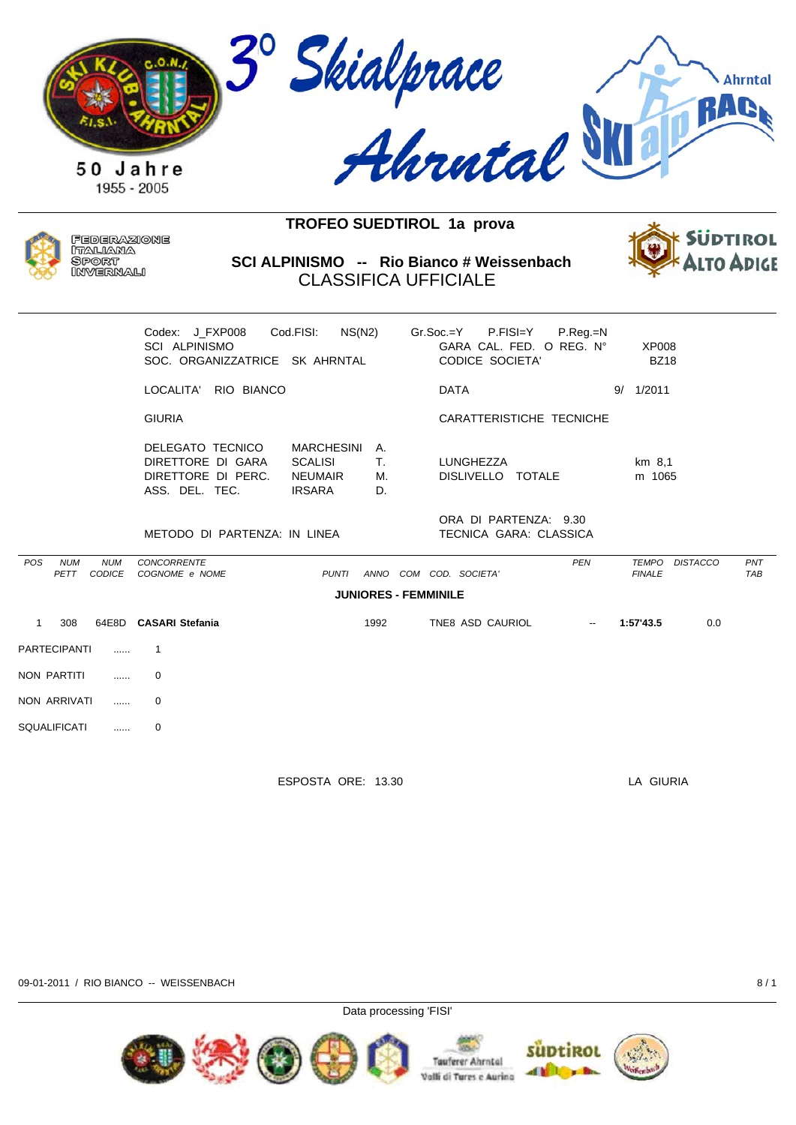



Federazione ITALIANA **SPORT** INVERNALI

SCI ALPINISMO -- Rio Bianco # Weissenbach **CLASSIFICA UFFICIALE** 



|       | Codex: J FXP008<br>SCI ALPINISMO<br>SOC. ORGANIZZATRICE SK AHRNTAL            | Cod.FISI:<br>NS(N2)                                                    |                      | Gr.Soc.=Y   | P.FISI=Y<br>GARA CAL. FED. O REG. N°<br>CODICE SOCIETA' | $P_{\cdot}$ Reg $_{\cdot}$ =N |    | XP008<br><b>BZ18</b>            |     |
|-------|-------------------------------------------------------------------------------|------------------------------------------------------------------------|----------------------|-------------|---------------------------------------------------------|-------------------------------|----|---------------------------------|-----|
|       | RIO BIANCO<br>LOCALITA'                                                       |                                                                        |                      | <b>DATA</b> |                                                         |                               | 9/ | 1/2011                          |     |
|       | <b>GIURIA</b>                                                                 |                                                                        |                      |             | CARATTERISTICHE TECNICHE                                |                               |    |                                 |     |
|       | DELEGATO TECNICO<br>DIRETTORE DI GARA<br>DIRETTORE DI PERC.<br>ASS. DEL. TEC. | <b>MARCHESINI</b><br><b>SCALISI</b><br><b>NEUMAIR</b><br><b>IRSARA</b> | A.<br>Τ.<br>М.<br>D. | LUNGHEZZA   | DISLIVELLO TOTALE                                       |                               |    | km 8,1<br>m 1065                |     |
|       | METODO DI PARTENZA: IN LINEA                                                  |                                                                        |                      |             | ORA DI PARTENZA: 9.30<br>TECNICA GARA: CLASSICA         |                               |    |                                 |     |
| NI IM | <b>CONCORRENTE</b>                                                            |                                                                        |                      |             |                                                         | <b>PFN</b>                    |    | <b>TFMPO</b><br><b>DISTACCO</b> | PNT |

| <b>FINALE</b>               | TAB |  |  |  |  |  |  |  |  |  |  |  |
|-----------------------------|-----|--|--|--|--|--|--|--|--|--|--|--|
| <b>JUNIORES - FEMMINILE</b> |     |  |  |  |  |  |  |  |  |  |  |  |
| 1:57'43.5<br>0.0            |     |  |  |  |  |  |  |  |  |  |  |  |
|                             |     |  |  |  |  |  |  |  |  |  |  |  |
|                             |     |  |  |  |  |  |  |  |  |  |  |  |
|                             |     |  |  |  |  |  |  |  |  |  |  |  |
|                             |     |  |  |  |  |  |  |  |  |  |  |  |
|                             |     |  |  |  |  |  |  |  |  |  |  |  |
|                             |     |  |  |  |  |  |  |  |  |  |  |  |

ESPOSTA ORE: 13.30

LA GIURIA

09-01-2011 / RIO BIANCO -- WEISSENBACH